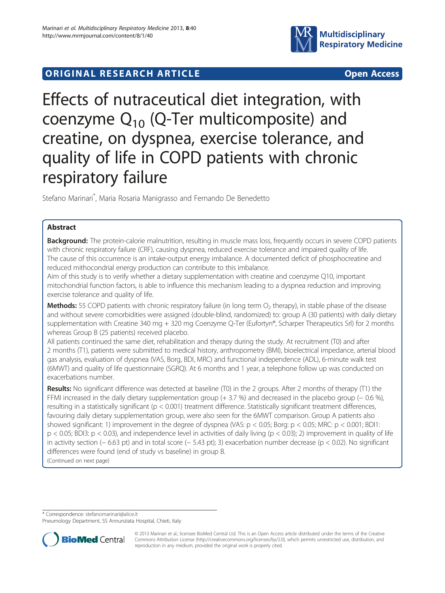

# **ORIGINAL RESEARCH ARTICLE CONSUMING ACCESS**

Effects of nutraceutical diet integration, with coenzyme  $Q_{10}$  (Q-Ter multicomposite) and creatine, on dyspnea, exercise tolerance, and quality of life in COPD patients with chronic respiratory failure

Stefano Marinari\* , Maria Rosaria Manigrasso and Fernando De Benedetto

# Abstract

**Background:** The protein-calorie malnutrition, resulting in muscle mass loss, frequently occurs in severe COPD patients with chronic respiratory failure (CRF), causing dyspnea, reduced exercise tolerance and impaired quality of life. The cause of this occurrence is an intake-output energy imbalance. A documented deficit of phosphocreatine and reduced mithocondrial energy production can contribute to this imbalance.

Aim of this study is to verify whether a dietary supplementation with creatine and coenzyme Q10, important mitochondrial function factors, is able to influence this mechanism leading to a dyspnea reduction and improving exercise tolerance and quality of life.

Methods: 55 COPD patients with chronic respiratory failure (in long term  $O<sub>2</sub>$  therapy), in stable phase of the disease and without severe comorbidities were assigned (double-blind, randomized) to: group A (30 patients) with daily dietary supplementation with Creatine 340 mg + 320 mg Coenzyme Q-Ter (Eufortyn®, Scharper Therapeutics Srl) for 2 months whereas Group B (25 patients) received placebo.

All patients continued the same diet, rehabilitation and therapy during the study. At recruitment (T0) and after 2 months (T1), patients were submitted to medical history, anthropometry (BMI), bioelectrical impedance, arterial blood gas analysis, evaluation of dyspnea (VAS, Borg, BDI, MRC) and functional independence (ADL), 6-minute walk test (6MWT) and quality of life questionnaire (SGRQ). At 6 months and 1 year, a telephone follow up was conducted on exacerbations number.

Results: No significant difference was detected at baseline (T0) in the 2 groups. After 2 months of therapy (T1) the FFMI increased in the daily dietary supplementation group (+ 3.7 %) and decreased in the placebo group (− 0.6 %), resulting in a statistically significant ( $p < 0.001$ ) treatment difference. Statistically significant treatment differences, favouring daily dietary supplementation group, were also seen for the 6MWT comparison. Group A patients also showed significant: 1) improvement in the degree of dyspnea (VAS: p < 0.05; Borg: p < 0.05; MRC: p < 0.001; BDI1: p < 0.05; BDI3: p < 0.03), and independence level in activities of daily living (p < 0.03); 2) improvement in quality of life in activity section (− 6.63 pt) and in total score (− 5.43 pt); 3) exacerbation number decrease (p < 0.02). No significant differences were found (end of study vs baseline) in group B.

(Continued on next page)

\* Correspondence: [stefanomarinari@alice.it](mailto:stefanomarinari@alice.it)

Pneumology Department, SS Annunziata Hospital, Chieti, Italy



© 2013 Marinari et al.; licensee BioMed Central Ltd. This is an Open Access article distributed under the terms of the Creative Commons Attribution License [\(http://creativecommons.org/licenses/by/2.0\)](http://creativecommons.org/licenses/by/2.0), which permits unrestricted use, distribution, and reproduction in any medium, provided the original work is properly cited.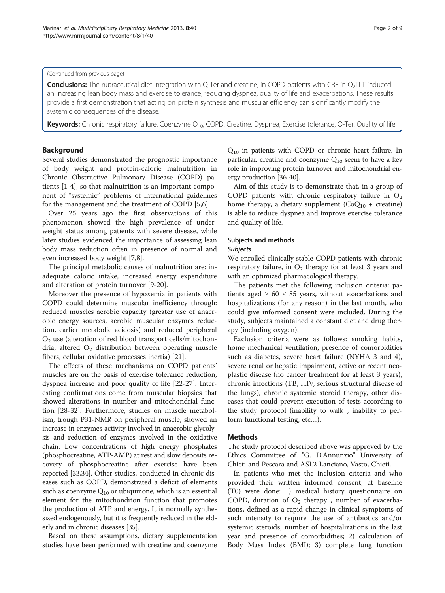#### (Continued from previous page)

Conclusions: The nutraceutical diet integration with Q-Ter and creatine, in COPD patients with CRF in O<sub>2</sub>TLT induced an increasing lean body mass and exercise tolerance, reducing dyspnea, quality of life and exacerbations. These results provide a first demonstration that acting on protein synthesis and muscular efficiency can significantly modify the systemic consequences of the disease.

Keywords: Chronic respiratory failure, Coenzyme Q<sub>10</sub>, COPD, Creatine, Dyspnea, Exercise tolerance, Q-Ter, Quality of life

# Background

Several studies demonstrated the prognostic importance of body weight and protein-calorie malnutrition in Chronic Obstructive Pulmonary Disease (COPD) patients [\[1](#page-6-0)-[4\]](#page-6-0), so that malnutrition is an important component of "systemic" problems of international guidelines for the management and the treatment of COPD [\[5](#page-6-0),[6](#page-6-0)].

Over 25 years ago the first observations of this phenomenon showed the high prevalence of underweight status among patients with severe disease, while later studies evidenced the importance of assessing lean body mass reduction often in presence of normal and even increased body weight [[7,8\]](#page-6-0).

The principal metabolic causes of malnutrition are: inadequate caloric intake, increased energy expenditure and alteration of protein turnover [\[9](#page-6-0)-[20\]](#page-7-0).

Moreover the presence of hypoxemia in patients with COPD could determine muscular inefficiency through: reduced muscles aerobic capacity (greater use of anaerobic energy sources, aerobic muscular enzymes reduction, earlier metabolic acidosis) and reduced peripheral  $O<sub>2</sub>$  use (alteration of red blood transport cells/mitochondria, altered  $O_2$  distribution between operating muscle fibers, cellular oxidative processes inertia) [[21\]](#page-7-0).

The effects of these mechanisms on COPD patients' muscles are on the basis of exercise tolerance reduction, dyspnea increase and poor quality of life [[22-27](#page-7-0)]. Interesting confirmations come from muscular biopsies that showed alterations in number and mitochondrial function [[28-32\]](#page-7-0). Furthermore, studies on muscle metabolism, trough P31-NMR on peripheral muscle, showed an increase in enzymes activity involved in anaerobic glycolysis and reduction of enzymes involved in the oxidative chain. Low concentrations of high energy phosphates (phosphocreatine, ATP-AMP) at rest and slow deposits recovery of phosphocreatine after exercise have been reported [\[33,34](#page-7-0)]. Other studies, conducted in chronic diseases such as COPD, demonstrated a deficit of elements such as coenzyme  $Q_{10}$  or ubiquinone, which is an essential element for the mitochondrion function that promotes the production of ATP and energy. It is normally synthesized endogenously, but it is frequently reduced in the elderly and in chronic diseases [\[35\]](#page-7-0).

Based on these assumptions, dietary supplementation studies have been performed with creatine and coenzyme Q10 in patients with COPD or chronic heart failure. In particular, creatine and coenzyme  $Q_{10}$  seem to have a key role in improving protein turnover and mitochondrial energy production [\[36-40\]](#page-7-0).

Aim of this study is to demonstrate that, in a group of COPD patients with chronic respiratory failure in  $O_2$ home therapy, a dietary supplement  $(CoQ_{10} + c$  reatine) is able to reduce dyspnea and improve exercise tolerance and quality of life.

#### Subjects and methods

#### Subjects

We enrolled clinically stable COPD patients with chronic respiratory failure, in  $O_2$  therapy for at least 3 years and with an optimized pharmacological therapy.

The patients met the following inclusion criteria: patients aged  $\geq 60 \leq 85$  years, without exacerbations and hospitalizations (for any reason) in the last month, who could give informed consent were included. During the study, subjects maintained a constant diet and drug therapy (including oxygen).

Exclusion criteria were as follows: smoking habits, home mechanical ventilation, presence of comorbidities such as diabetes, severe heart failure (NYHA 3 and 4), severe renal or hepatic impairment, active or recent neoplastic disease (no cancer treatment for at least 3 years), chronic infections (TB, HIV, serious structural disease of the lungs), chronic systemic steroid therapy, other diseases that could prevent execution of tests according to the study protocol (inability to walk , inability to perform functional testing, etc…).

#### Methods

The study protocol described above was approved by the Ethics Committee of "G. D'Annunzio" University of Chieti and Pescara and ASL2 Lanciano, Vasto, Chieti.

In patients who met the inclusion criteria and who provided their written informed consent, at baseline (T0) were done: 1) medical history questionnaire on COPD, duration of  $O_2$  therapy, number of exacerbations, defined as a rapid change in clinical symptoms of such intensity to require the use of antibiotics and/or systemic steroids, number of hospitalizations in the last year and presence of comorbidities; 2) calculation of Body Mass Index (BMI); 3) complete lung function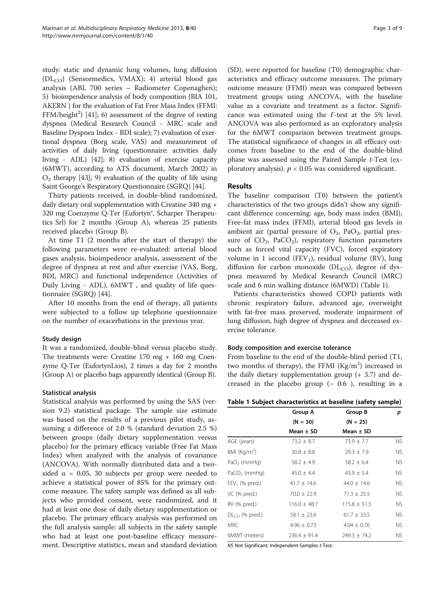study: static and dynamic lung volumes, lung diffusion  $(DL_{CO})$  (Sensormedics, VMAX); 4) arterial blood gas analysis (ABL 700 series – Radiometer Copenaghen); 5) bioimpendence analysis of body composition (BIA 101, AKERN ) for the evaluation of Fat Free Mass Index (FFMI: FFM/height<sup>2</sup>) [\[41\]](#page-7-0); 6) assessment of the degree of resting dyspnea (Medical Research Council - MRC scale and Baseline Dyspnea Index - BDI scale); 7) evaluation of exertional dyspnea (Borg scale, VAS) and measurement of activities of daily living (questionnaire: activities daily living - ADL) [\[42\]](#page-7-0); 8) evaluation of exercise capacity (6MWT), according to ATS document, March 2002) in  $O<sub>2</sub>$  therapy [\[43\]](#page-7-0); 9) evaluation of the quality of life using Saint George's Respiratory Questionnaire (SGRQ) [\[44\]](#page-7-0).

Thirty patients received, in double-blind randomized, daily dietary oral supplementation with Creatine 340 mg + 320 mg Coenzyme Q-Ter (Eufortyn®, Scharper Therapeutics Srl) for 2 months (Group A), whereas 25 patients received placebo (Group B).

At time T1 (2 months after the start of therapy) the following parameters were re-evaluated: arterial blood gases analysis, bioimpedence analysis, assessment of the degree of dyspnea at rest and after exercise (VAS, Borg, BDI, MRC) and functional independence (Activities of Daily Living - ADL), 6MWT , and quality of life questionnaire (SGRQ) [[44\]](#page-7-0).

After 10 months from the end of therapy, all patients were subjected to a follow up telephone questionnaire on the number of exacerbations in the previous year.

# Study design

It was a randomized, double-blind versus placebo study. The treatments were: Creatine  $170$  mg +  $160$  mg Coenzyme Q-Ter (EufortynLios), 2 times a day for 2 months (Group A) or placebo bags apparently identical (Group B).

# Statistical analysis

Statistical analysis was performed by using the SAS (version 9.2) statistical package. The sample size estimate was based on the results of a previous pilot study, assuming a difference of 2.0 % (standard deviation 2.5 %) between groups (daily dietary supplementation versus placebo) for the primary efficacy variable (Free Fat Mass Index) when analyzed with the analysis of covariance (ANCOVA). With normally distributed data and a twosided  $\alpha$  = 0.05, 30 subjects per group were needed to achieve a statistical power of 85% for the primary outcome measure. The safety sample was defined as all subjects who provided consent, were randomized, and it had at least one dose of daily dietary supplementation or placebo. The primary efficacy analysis was performed on the full analysis sample: all subjects in the safety sample who had at least one post-baseline efficacy measurement. Descriptive statistics, mean and standard deviation

(SD), were reported for baseline (T0) demographic characteristics and efficacy outcome measures. The primary outcome measure (FFMI) mean was compared between treatment groups using ANCOVA, with the baseline value as a covariate and treatment as a factor. Significance was estimated using the F-test at the 5% level. ANCOVA was also performed as an exploratory analysis for the 6MWT comparison between treatment groups. The statistical significance of changes in all efficacy outcomes from baseline to the end of the double-blind phase was assessed using the Paired Sample t-Test (exploratory analysis).  $p < 0.05$  was considered significant.

# Results

The baseline comparison (T0) between the patient's characteristics of the two groups didn't show any significant difference concerning: age, body mass index (BMI), Free-fat mass index (FFMI), arterial blood gas levels in ambient air (partial pressure of  $O_2$ , Pa $O_2$ , partial pressure of  $CO<sub>2</sub>$ , PaCO<sub>2</sub>), respiratory function parameters such as forced vital capacity (FVC), forced expiratory volume in 1 second (FEV<sub>1</sub>), residual volume (RV), lung diffusion for carbon monoxide ( $DL<sub>CO</sub>$ ), degree of dyspnea measured by Medical Research Council (MRC) scale and 6 min walking distance (6MWD) (Table 1).

Patients characteristics showed COPD patients with chronic respiratory failure, advanced age, overweight with fat-free mass preserved, moderate impairment of lung diffusion, high degree of dyspnea and decreased exercise tolerance.

# Body composition and exercise tolerance

From baseline to the end of the double-blind period (T1, two months of therapy), the FFMI  $(Kg/m<sup>2</sup>)$  increased in the daily dietary supplementation group  $(+ 3.7)$  and decreased in the placebo group  $(-0.6)$ , resulting in a

|  |  |  | Table 1 Subject characteristics at baseline (safety sample) |  |  |  |  |
|--|--|--|-------------------------------------------------------------|--|--|--|--|
|--|--|--|-------------------------------------------------------------|--|--|--|--|

|                  | Group A          | Group B          | p         |
|------------------|------------------|------------------|-----------|
|                  | $(N = 30)$       | $(N = 25)$       |           |
|                  | Mean $\pm$ SD    | Mean $\pm$ SD    |           |
| AGE (years)      | $73.2 \pm 8.7$   | $73.9 \pm 7.7$   | NS.       |
| BMI $(Kq/m2)$    | $30.8 \pm 8.8$   | $29.3 \pm 7.9$   | NS.       |
| $PaO2$ (mmHq)    | $58.2 \pm 4.9$   | $58.2 \pm 6.4$   | NS.       |
| $PaCO2$ (mmHq)   | $45.0 \pm 4.4$   | $43.9 \pm 5.4$   | <b>NS</b> |
| $FEV1$ (% pred.) | $41.7 \pm 14.6$  | $44.0 \pm 14.6$  | <b>NS</b> |
| VC (% pred.)     | $70.0 \pm 22.9$  | $71.3 \pm 25.5$  | <b>NS</b> |
| RV (% pred.)     | $116.0 \pm 48.7$ | $115.8 \pm 51.5$ | NS.       |
| $DLCO$ (% pred.) | $58.1 \pm 23.6$  | $61.7 \pm 33.5$  | NS.       |
| MRC.             | $4.96 \pm 0.73$  | $4.04 \pm 0.76$  | NS.       |
| 6MWT (meters)    | $236.4 \pm 91.4$ | $249.3 \pm 74.2$ | NS.       |

NS Not Significant; Independent-Samples t-Test.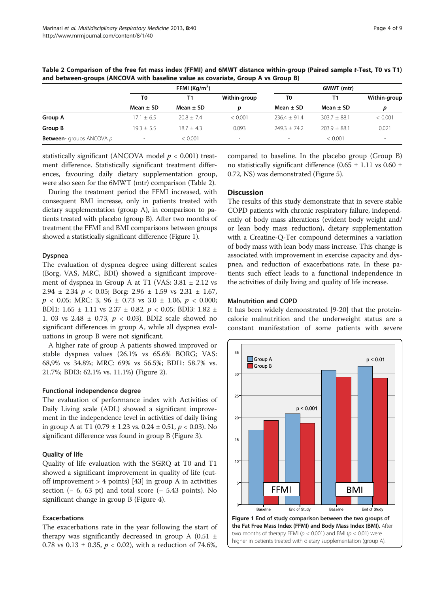|                                 |                | FFMI $(Kq/m^2)$ |              |                | 6MWT (mtr)       |              |  |
|---------------------------------|----------------|-----------------|--------------|----------------|------------------|--------------|--|
|                                 | T0             |                 | Within-group | T0             |                  | Within-group |  |
|                                 | Mean $\pm$ SD  | Mean $\pm$ SD   | D            | Mean $\pm$ SD  | Mean $\pm$ SD    | D            |  |
| Group A                         | $17.1 \pm 6.5$ | $20.8 \pm 7.4$  | < 0.001      | $236.4 + 91.4$ | $303.7 \pm 88.1$ | < 0.001      |  |
| Group B                         | $19.3 + 5.5$   | $18.7 + 4.3$    | 0.093        | $749.3 + 74.7$ | $203.9 + 88.1$   | 0.021        |  |
| <b>Between-</b> groups ANCOVA p | $\sim$         | < 0.001         |              | $\sim$         | < 0.001          |              |  |

Table 2 Comparison of the free fat mass index (FFMI) and 6MWT distance within-group (Paired sample t-Test, T0 vs T1) and between-groups (ANCOVA with baseline value as covariate, Group A vs Group B)

statistically significant (ANCOVA model  $p < 0.001$ ) treatment difference. Statistically significant treatment differences, favouring daily dietary supplementation group, were also seen for the 6MWT (mtr) comparison (Table 2).

During the treatment period the FFMI increased, with consequent BMI increase, only in patients treated with dietary supplementation (group A), in comparison to patients treated with placebo (group B). After two months of treatment the FFMI and BMI comparisons between groups showed a statistically significant difference (Figure 1).

#### Dyspnea

The evaluation of dyspnea degree using different scales (Borg, VAS, MRC, BDI) showed a significant improvement of dyspnea in Group A at T1 (VAS: 3.81 ± 2.12 vs 2.94  $\pm$  2.34  $p$  < 0.05; Borg: 2.96  $\pm$  1.59 vs 2.31  $\pm$  1.67,  $p$  < 0.05; MRC: 3, 96  $\pm$  0.73 vs 3.0  $\pm$  1.06,  $p$  < 0.000; BDI1: 1.65  $\pm$  1.11 vs 2.37  $\pm$  0.82,  $p < 0.05$ ; BDI3: 1.82  $\pm$ 1. 03 vs 2.48 ± 0.73, p < 0.03). BDI2 scale showed no significant differences in group A, while all dyspnea evaluations in group B were not significant.

A higher rate of group A patients showed improved or stable dyspnea values (26.1% vs 65.6% BORG; VAS: 68,9% vs 34.8%; MRC: 69% vs 56.5%; BDI1: 58.7% vs. 21.7%; BDI3: 62.1% vs. 11.1%) (Figure [2](#page-4-0)).

#### Functional independence degree

The evaluation of performance index with Activities of Daily Living scale (ADL) showed a significant improvement in the independence level in activities of daily living in group A at T1 (0.79  $\pm$  1.23 vs. 0.24  $\pm$  0.51,  $p < 0.03$ ). No significant difference was found in group B (Figure [3](#page-4-0)).

#### Quality of life

Quality of life evaluation with the SGRQ at T0 and T1 showed a significant improvement in quality of life (cutoff improvement  $> 4$  points) [[43\]](#page-7-0) in group A in activities section  $(-6, 63 \text{ pt})$  and total score  $(-5.43 \text{ points})$ . No significant change in group B (Figure [4](#page-5-0)).

# Exacerbations

The exacerbations rate in the year following the start of therapy was significantly decreased in group A  $(0.51 \pm$ 0.78 vs 0.13  $\pm$  0.35,  $p < 0.02$ ), with a reduction of 74.6%,

compared to baseline. In the placebo group (Group B) no statistically significant difference  $(0.65 \pm 1.11 \text{ vs } 0.60 \pm 1.11 \text{ vs } 0.60 \pm 1.11 \text{ vs } 0.60 \pm 1.11 \text{ vs } 0.60 \pm 1.11 \text{ vs } 0.60 \pm 1.11 \text{ vs } 0.60 \pm 1.11 \text{ vs } 0.60 \pm 1.11 \text{ vs } 0.60 \pm 1.11 \text{ vs } 0.60 \pm 1.11 \text{ vs } 0.60 \pm 1.$ 0.72, NS) was demonstrated (Figure [5\)](#page-5-0).

# Discussion

The results of this study demonstrate that in severe stable COPD patients with chronic respiratory failure, independently of body mass alterations (evident body weight and/ or lean body mass reduction), dietary supplementation with a Creatine-Q-Ter compound determines a variation of body mass with lean body mass increase. This change is associated with improvement in exercise capacity and dyspnea, and reduction of exacerbations rate. In these patients such effect leads to a functional independence in the activities of daily living and quality of life increase.

#### Malnutrition and COPD

It has been widely demonstrated [\[9](#page-6-0)-[20\]](#page-7-0) that the proteincalorie malnutrition and the underweight status are a constant manifestation of some patients with severe

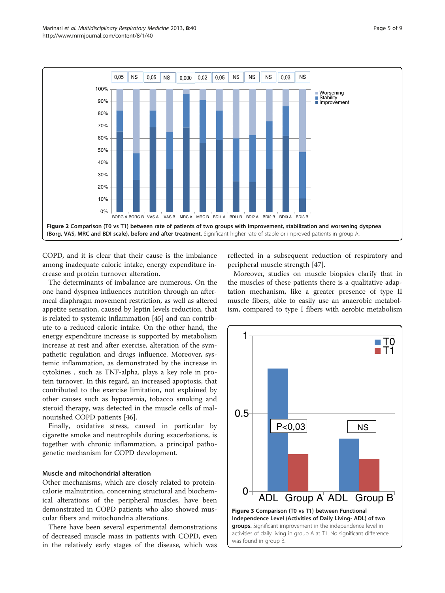<span id="page-4-0"></span>

COPD, and it is clear that their cause is the imbalance among inadequate caloric intake, energy expenditure increase and protein turnover alteration.

The determinants of imbalance are numerous. On the one hand dyspnea influences nutrition through an aftermeal diaphragm movement restriction, as well as altered appetite sensation, caused by leptin levels reduction, that is related to systemic inflammation [\[45](#page-7-0)] and can contribute to a reduced caloric intake. On the other hand, the energy expenditure increase is supported by metabolism increase at rest and after exercise, alteration of the sympathetic regulation and drugs influence. Moreover, systemic inflammation, as demonstrated by the increase in cytokines , such as TNF-alpha, plays a key role in protein turnover. In this regard, an increased apoptosis, that contributed to the exercise limitation, not explained by other causes such as hypoxemia, tobacco smoking and steroid therapy, was detected in the muscle cells of malnourished COPD patients [[46\]](#page-7-0).

Finally, oxidative stress, caused in particular by cigarette smoke and neutrophils during exacerbations, is together with chronic inflammation, a principal pathogenetic mechanism for COPD development.

#### Muscle and mitochondrial alteration

Other mechanisms, which are closely related to proteincalorie malnutrition, concerning structural and biochemical alterations of the peripheral muscles, have been demonstrated in COPD patients who also showed muscular fibers and mitochondria alterations.

There have been several experimental demonstrations of decreased muscle mass in patients with COPD, even in the relatively early stages of the disease, which was reflected in a subsequent reduction of respiratory and peripheral muscle strength [\[47](#page-7-0)].

Moreover, studies on muscle biopsies clarify that in the muscles of these patients there is a qualitative adaptation mechanism, like a greater presence of type II muscle fibers, able to easily use an anaerobic metabolism, compared to type I fibers with aerobic metabolism

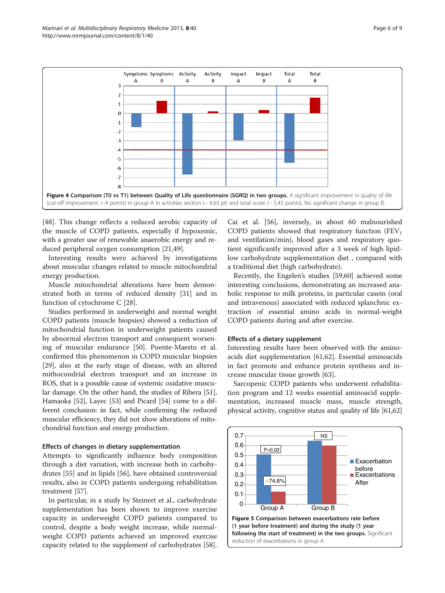<span id="page-5-0"></span>

[[48\]](#page-7-0). This change reflects a reduced aerobic capacity of the muscle of COPD patients, especially if hypoxemic, with a greater use of renewable anaerobic energy and reduced peripheral oxygen consumption [\[21,49\]](#page-7-0).

Interesting results were achieved by investigations about muscular changes related to muscle mitochondrial energy production.

Muscle mitochondrial alterations have been demonstrated both in terms of reduced density [[31\]](#page-7-0) and in function of cytochrome C [[28](#page-7-0)].

Studies performed in underweight and normal weight COPD patients (muscle biopsies) showed a reduction of mitochondrial function in underweight patients caused by abnormal electron transport and consequent worsening of muscular endurance [\[50](#page-7-0)]. Puente-Maestu et al. confirmed this phenomenon in COPD muscular biopsies [[29\]](#page-7-0), also at the early stage of disease, with an altered mithocondrial electron transport and an increase in ROS, that is a possible cause of systemic oxidative muscular damage. On the other hand, the studies of Ribera [[51](#page-7-0)], Hamaoka [[52](#page-7-0)], Layec [\[53](#page-8-0)] and Picard [[54](#page-8-0)] come to a different conclusion: in fact, while confirming the reduced muscular efficiency, they did not show alterations of mitochondrial function and energy production.

# Effects of changes in dietary supplementation

Attempts to significantly influence body composition through a diet variation, with increase both in carbohydrates [\[55](#page-8-0)] and in lipids [\[56\]](#page-8-0), have obtained controversial results, also in COPD patients undergoing rehabilitation treatment [[57\]](#page-8-0).

In particular, in a study by Steinert et al., carbohydrate supplementation has been shown to improve exercise capacity in underweight COPD patients compared to control, despite a body weight increase, while normalweight COPD patients achieved an improved exercise capacity related to the supplement of carbohydrates [\[58](#page-8-0)].

Cai et al. [\[56](#page-8-0)], inversely, in about 60 malnourished COPD patients showed that respiratory function  $(FEV<sub>1</sub>)$ and ventilation/min), blood gases and respiratory quotient significantly improved after a 3 week of high lipidlow carbohydrate supplementation diet , compared with a traditional diet (high carbohydrate).

Recently, the Engelen's studies [\[59,60](#page-8-0)] achieved some interesting conclusions, demonstrating an increased anabolic response to milk proteins, in particular casein (oral and intravenous) associated with reduced splanchnic extraction of essential amino acids in normal-weight COPD patients during and after exercise.

#### Effects of a dietary supplement

Interesting results have been observed with the aminoacids diet supplementation [[61,62\]](#page-8-0). Essential aminoacids in fact promote and enhance protein synthesis and increase muscular tissue growth [\[63](#page-8-0)].

Sarcopenic COPD patients who underwent rehabilitation program and 12 weeks essential aminoacid supplementation, increased muscle mass, muscle strength, physical activity, cognitive status and quality of life [\[61,62](#page-8-0)]

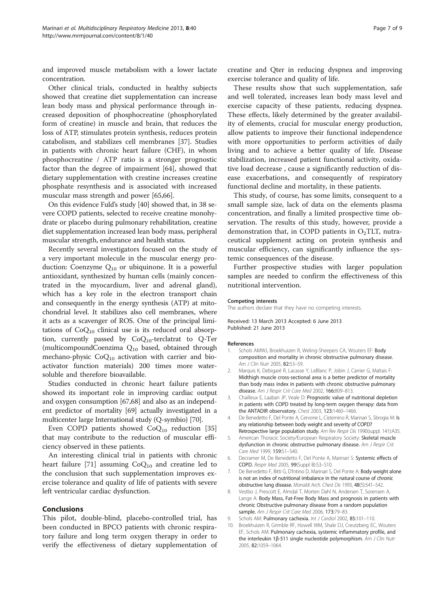<span id="page-6-0"></span>and improved muscle metabolism with a lower lactate concentration.

Other clinical trials, conducted in healthy subjects showed that creatine diet supplementation can increase lean body mass and physical performance through increased deposition of phosphocreatine (phosphorylated form of creatine) in muscle and brain, that reduces the loss of ATP, stimulates protein synthesis, reduces protein catabolism, and stabilizes cell membranes [\[37](#page-7-0)]. Studies in patients with chronic heart failure (CHF), in whom phosphocreatine / ATP ratio is a stronger prognostic factor than the degree of impairment [[64\]](#page-8-0), showed that dietary supplementation with creatine increases creatine phosphate resynthesis and is associated with increased muscular mass strength and power [\[65,66](#page-8-0)].

On this evidence Fuld's study [\[40](#page-7-0)] showed that, in 38 severe COPD patients, selected to receive creatine monohydrate or placebo during pulmonary rehabilitation, creatine diet supplementation increased lean body mass, peripheral muscular strength, endurance and health status.

Recently several investigators focused on the study of a very important molecule in the muscular energy production: Coenzyme  $Q_{10}$  or ubiquinone. It is a powerful antioxidant, synthesized by human cells (mainly concentrated in the myocardium, liver and adrenal gland), which has a key role in the electron transport chain and consequently in the energy synthesis (ATP) at mitochondrial level. It stabilizes also cell membranes, where it acts as a scavenger of ROS. One of the principal limitations of  $CoQ_{10}$  clinical use is its reduced oral absorption, currently passed by  $CoQ_{10}$ -terclatrat to Q-Ter (multicompoundCoenzima Q10 based, obtained through mechano-physic  $CoQ_{10}$  activation with carrier and bioactivator function materials) 200 times more watersoluble and therefore bioavailable.

Studies conducted in chronic heart failure patients showed its important role in improving cardiac output and oxygen consumption [[67,68](#page-8-0)] and also as an independent predictor of mortality [[69](#page-8-0)] actually investigated in a multicenter large International study (Q-symbio) [\[70\]](#page-8-0).

Even COPD patients showed  $CoQ_{10}$  reduction [[35](#page-7-0)] that may contribute to the reduction of muscular efficiency observed in these patients.

An interesting clinical trial in patients with chronic heart failure [\[71\]](#page-8-0) assuming  $CoQ_{10}$  and creatine led to the conclusion that such supplementation improves exercise tolerance and quality of life of patients with severe left ventricular cardiac dysfunction.

#### Conclusions

This pilot, double-blind, placebo-controlled trial, has been conducted in BPCO patients with chronic respiratory failure and long term oxygen therapy in order to verify the effectiveness of dietary supplementation of creatine and Qter in reducing dyspnea and improving exercise tolerance and quality of life.

These results show that such supplementation, safe and well tolerated, increases lean body mass level and exercise capacity of these patients, reducing dyspnea. These effects, likely determined by the greater availability of elements, crucial for muscular energy production, allow patients to improve their functional independence with more opportunities to perform activities of daily living and to achieve a better quality of life. Disease stabilization, increased patient functional activity, oxidative load decrease , cause a significantly reduction of disease exacerbations, and consequently of respiratory functional decline and mortality, in these patients.

This study, of course, has some limits, consequent to a small sample size, lack of data on the elements plasma concentration, and finally a limited prospective time observation. The results of this study, however, provide a demonstration that, in COPD patients in  $O_2TLT$ , nutraceutical supplement acting on protein synthesis and muscular efficiency, can significantly influence the systemic consequences of the disease.

Further prospective studies with larger population samples are needed to confirm the effectiveness of this nutritional intervention.

#### Competing interests

The authors declare that they have no competing interests.

Received: 13 March 2013 Accepted: 6 June 2013 Published: 21 June 2013

#### References

- 1. Schols AMWJ, Broekhuizen R, Weling-Sheepers CA, Wouters EF: Body composition and mortality in chronic obstructive pulmonary disease. Am J Clin Nutr 2005, 82:53–59.
- 2. Marquis K, Debigaré R, Lacasse Y, LeBlanc P, Jobin J, Carrier G, Maltais F: Midthigh muscle cross-sectional area is a better predictor of mortality than body mass index in patients with chronic obstructive pulmonary disease. Am J Respir Crit Care Med 2002, 166:809-813.
- 3. Chailleux E, Laaban JP, Veale D: Prognostic value of nutritional depletion in patients with COPD treated by long-term oxygen therapy: data from the ANTADIR observatory. Chest 2003, 123:1460–1466.
- 4. De Benedetto F, Del Ponte A, Cervone L, Cisternino R, Marinari S, Sbrogia M: Is any relationship between body weight and severity of COPD?
- Retrospective large population study. Am Rev Respir Dis 1990(suppl. 141):A35. 5. American Thoracic Society/European Respiratory Society: Skeletal muscle
- dysfunction in chronic obstructive pulmonary disease. Am J Respir Crit Care Med 1999, 159:S1–S40.
- 6. Decramer M, De Benedetto F, Del Ponte A, Marinari S: Systemic effects of COPD. Respir Med 2005, 99(Suppl B):S3–S10.
- 7. De Benedetto F, Bitti G, D'Intino D, Marinari S, Del Ponte A: Body weight alone is not an index of nutritional imbalance in the natural course of chronic obstructive lung disease. Monaldi Arch. Chest Dis 1993, 48(5):541–542.
- 8. Vestbo J, Prescott E, Almdal T, Morten Dahl N, Andersen T, Sorensen A, Lange A: Body Mass, Fat-Free Body Mass and prognosis in patients with chronic Obstructive pulmonary disease from a random population sample. Am J Respir Crit Care Med 2006, 173:79-83.
- 9. Schols AM: Pulmonary cachexia. Int J Cardiol 2002, 85:101-110.
- 10. Broekhuizen R, Grimble RF, Howell WM, Shale DJ, Creutzberg EC, Wouters EF, Schols AM: Pulmonary cachexia, systemic inflammatory profile, and the interleukin 1β-511 single nucleotide polymorphism. Am J Clin Nutr 2005, 82:1059–1064.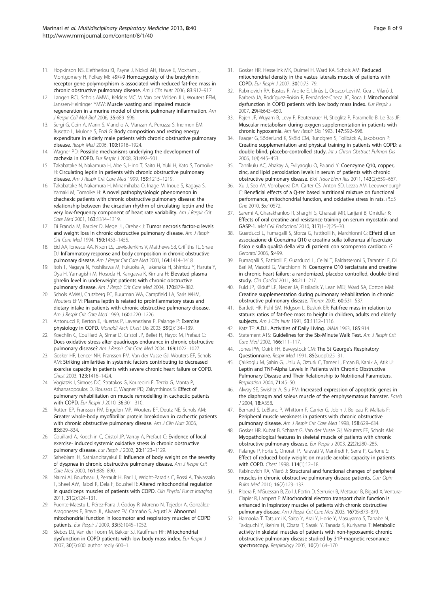- <span id="page-7-0"></span>11. Hopkinson NS, Eleftheriou KI, Payne J, Nickol AH, Hawe E, Moxham J, Montgomery H, Polkey MI: +9/+9 Homozygosity of the bradykinin receptor gene polymorphism is associated with reduced fat-free mass in chronic obstructive pulmonary disease. Am J Clin Nutr 2006, 83:912-917.
- 12. Langen RCJ, Schols AMWJ, Kelders MCJM, Van der Velden JLJ, Wouters EFM, Janssen-Heininger YMW: Muscle wasting and impaired muscle regeneration in a murine model of chronic pulmonary inflammation. Am J Respir Cell Mol Biol 2006, 35:689–696.
- 13. Sergi G, Coin A, Marin S, Vianello A, Manzan A, Peruzza S, Inelmen EM, Busetto L, Mulone S, Enzi G: Body composition and resting energy expenditure in elderly male patients with chronic obstructive pulmonary disease. Respir Med 2006, 100:1918–1924.
- 14. Wagner PD: Possible mechanisms underlying the development of cachexia in COPD. Eur Respir J 2008, 31:492–501.
- 15. Takabatake N, Nakamura H, Abe S, Hino T, Saito H, Yuki H, Kato S, Tomoike H: Circulating leptin in patients with chronic obstructive pulmonary disease. Am J Respir Crit Care Med 1999, 159:1215-1219.
- 16. Takabatake N, Nakamura H, Minamihaba O, Inage M, Inoue S, Kagaya S, Yamaki M, Tomoike H: A novel pathophysiologic phenomenon in chachexic patients with chronic obstructive pulmonary disease: the relationship between the circadian rhythm of circulating leptin and the very low-frequency component of heart rate variability. Am J Respir Crit Care Med 2001, 163:1314–1319.
- 17. Di Francia M, Barbier D, Mege JL, Orehek J: Tumor necrosis factor-α levels and weight loss in chronic obstructive pulmonary disease. Am J Respir Crit Care Med 1994, 150:1453–1455.
- 18. Eid AA, Ionescu AA, Nixon LS, Lewis-Jenkins V, Matthews SB, Griffiths TL, Shale DJ: Inflammatory response and body composition in chronic obstructive pulmonary disease. Am J Respir Crit Care Med 2001, 164:1414-1418.
- 19. Itoh T, Nagaya N, Yoshikawa M, Fukuoka A, Takenaka H, Shimizu Y, Haruta Y, Oya H, Yamagishi M, Hosoda H, Kangawa K, Kimura H: Elevated plasma ghrelin level in underweight patients with chronic obstructive pulmonary disease. Am J Respir Crit Care Med 2004, 170:879-882.
- 20. Schols AMWJ, Crutzberg EC, Buurman WA, Campfield LA, Saris WHM, Wouters EFM: Plasma leptin is related to proinflammatory staus and dietary intake in patients with chronic obstructive pulmonary disease. Am J Respir Crit Care Med 1999, 160:1220–1226.
- 21. Antonucci R, Berton E, Huertas P, Laveneziana P, Palange P: Exercise physiology in COPD. Monaldi Arch Chest Dis 2003, 59(2):134–139.
- 22. Koechlin C, Couillard A, Simar D, Cristol JP, Bellet H, Hayot M, Prefaut C: Does oxidative stress alter quadriceps endurance in chronic obstructive pulmonary disease? Am J Respir Crit Care Med 2004, 169:1022-1027.
- 23. Gosker HR, Lencer NH, Franssen FM, Van der Vusse GJ, Wouters EF, Schols AM: Striking similarities in systemic factors contributing to decreased exercise capacity in patients with severe chronic heart failure or COPD. Chest 2003, 123:1416–1424.
- 24. Vogiatzis I, Simoes DC, Stratakos G, Kourepini E, Terzia G, Manta P, Athanasopoulos D, Roussos C, Wagner PD, Zakynthinos S: Effect of pulmonary rehabilitation on muscle remodelling in cachectic patients with COPD. Eur Respir J 2010, 36:301-310.
- 25. Rutten EP, Franssen FM, Engelen MP, Wouters EF, Deutz NE, Schols AM: Greater whole-body myofibrillar protein breakdown in cachectic patients with chronic obstructive pulmonary disease. Am J Clin Nutr 2006, 83:829–834.
- 26. Couillard A, Koechlin C, Cristol JP, Varray A, Prefaut C: Evidence of local exercise- induced systemic oxidative stress in chronic obstructive pulmonary disease. Eur Respir J 2002, 20:1123-1129.
- 27. Sahebjami H, Sathianpitayakul E: Influence of body weight on the severity of dyspnea in chronic obstructive pulmonary disease. Am J Respir Crit Care Med 2000, 161:886–890.
- 28. Naimi AI, Bourbeau J, Perrault H, Baril J, Wright-Paradis C, Rossi A, Taivassalo T, Sheel AW, Rabøl R, Dela F, Boushel R: Altered mitochondrial regulation in quadriceps muscles of patients with COPD. Clin Physiol Funct Imaging 2011, 31(2):124–131.
- 29. Puente-Maestu L, Pérez-Parra J, Godoy R, Moreno N, Tejedor A, González-Aragoneses F, Bravo JL, Alvarez FV, Camaño S, Agustí A: Abnormal mitochondrial function in locomotor and respiratory muscles of COPD patients. Eur Respir J 2009, 33(5):1045–1052.
- 30. Slebos DJ, Van der Toorn M, Bakker SJ, Kauffman HF: Mitochondrial dysfunction in COPD patients with low body mass index. Eur Respir J 2007, 30(3):600. author reply 600–1.
- 31. Gosker HR, Hesselink MK, Duimel H, Ward KA, Schols AM: Reduced mitochondrial density in the vastus lateralis muscle of patients with COPD. Eur Respir J 2007, 30(1):73–79.
- 32. Rabinovich RA, Bastos R, Ardite E, Llinàs L, Orozco-Levi M, Gea J, Vilaró J, Barberà JA, Rodríguez-Roisin R, Fernández-Checa JC, Roca J: Mitochondrial dysfunction in COPD patients with low body mass index. Eur Respir J 2007, 29(4):643–650.
- 33. Pajen JF, Wuyam B, Levy P, Reutenauer H, Stieglitz P, Paramelle B, Le Bas JF: Muscular metabolism during oxygen supplementation in patients with chronic hypoxemia. Am Rev Respir Dis 1993, 147:592–598.
- 34. Faager G, Söderlund K, Sköld CM, Rundgren S, Tollbäck A, Jakobsson P: Creatine supplementation and physical training in patients with COPD: a double blind, placebo-controlled study. Int J Chron Obstruct Pulmon Dis 2006, 1(4):445–453.
- 35. Tanrikulu AC, Abakay A, Evliyaoglu O, Palanci Y: Coenzyme Q10, copper, zinc, and lipid peroxidation levels in serum of patients with chronic obstructive pulmonary disease. Biol Trace Elem Res 2011, 143(2):659–667.
- 36. Xu J, Seo AY, Vorobyeva DA, Carter CS, Anton SD, Lezza AM, Leeuwenburgh C: Beneficial effects of a Q-ter based nutritional mixture on functional performance, mitochondrial function, and oxidative stress in rats. PLoS One 2010, 5:e10572.
- 37. Saremi A, Gharakhanloo R, Sharghi S, Gharaati MR, Larijani B, Omidfar K: Effects of oral creatine and resistance training on serum myostatin and GASP-1. Mol Cell Endocrinol 2010, 317(1–2):25–30.
- 38. Guarducci L, Fumagalli S, Sforza G, Fattirolli N, Marchionni G: Effetti di un associazione di Coenzima Q10 e creatina sulla tolleranza all'esercizio fisico e sulla qualità della vita di pazienti con scompenso cardiaco. G Gerontol 2006, 5:499.
- 39. Fumagalli S, Fattirolli F, Guarducci L, Cellai T, Baldasseroni S, Tarantini F, Di Bari M, Masotti G, Marchionni N: Coenzyme Q10 terclatrate and creatine in chronic heart failure: a randomized, placebo controlled, double-blind study. Clin Cardiol 2011, 34:211–217.
- 40. Fuld JP, Kilduff LP, Neder JA, Pitsiladis Y, Lean MEJ, Ward SA, Cotton MM: Creatine supplementation during pulmonary rehabilitation in chronic obstructive pulmonary disease. Thorax 2005, 60:531–537.
- 41. Bartlett HR, Puhl SM, Hdgson L, Buskirk ER: Fat-free mass in relation to stature: ratios of fat-free mass to height in children, adults end elderly subjects. Am J Clin Nutr 1991, 53:1112-1116.
- 42. Katz TF: A.D.L. Activities of Daily Living. JAMA 1963, 185:914.
- 43. Statement ATS: Guidelines for the Six-Minute Walk Test. Am J Respir Crit Care Med 2002, 166:111–117.
- 44. Jones PW, Quirk FH, Baveystock CM: The St George's Respiratory Questionnaire. Respir Med 1991, 85(suppl):25–31.
- 45. Çalıkoglu M, Şahin G, Unlu A, Ozturk C, Tamer L, Ercan B, Kanik A, Atik U: Leptin and TNF-Alpha Levels in Patients with Chronic Obstructive Pulmonary Disease and Their Relationship to Nutritional Parameters. Respiration 2004, 71:45–50.
- 46. Alway SE, Swisher A, Siu PM: Increased expression of apoptotic genes in the diaphragm and soleus muscle of the emphysematous hamster. Faseb J 2004, 18:A358.
- 47. Bernard S, LeBlanc P, Whittom F, Carrier G, Jobin J, Belleau R, Maltais F: Peripheral muscle weakness in patients with chronic obstructive pulmonary disease. Am J Respir Crit Care Med 1998, 158:629-634.
- 48. Gosker HR, Kubat B, Schaart G, Van der Vusse GJ, Wouters EF, Schols AM: Myopathological features in skeletal muscle of patients with chronic obstructive pulmonary disease. Eur Respir J 2003, 22(2):280–285.
- 49. Palange P, Forte S, Onorati P, Paravati V, Manfredi F, Serra P, Carlone S: Effect of reduced body weight on muscle aerobic capacity in patients with COPD. Chest 1998, 114(1):12–18.
- 50. Rabinovich RA, Vilaró J: Structural and functional changes of peripheral muscles in chronic obstructive pulmonary disease patients. Curr Opin Pulm Med 2010, 16(2):123–133.
- 51. Ribera F, N'Guessan B, Zoll J, Fortin D, Serrurier B, Mettauer B, Bigard X, Ventura-Clapier R, Lampert E: Mitochondrial electron transport chain function is enhanced in inspiratory muscles of patients with chronic obstructive pulmonary disease. Am J Respir Crit Care Med 2003, 167(6):873-879.
- 52. Hamaoka T, Tatsumi K, Saito Y, Arai Y, Horie Y, Masuyama S, Tanabe N, Takiguchi Y, Ikehira H, Obata T, Sasaki Y, Tanada S, Kuriyama T: Metabolic activity in skeletal muscles of patients with non-hypoxaemic chronic obstructive pulmonary disease studied by 31P-magnetic resonance spectroscopy. Respirology 2005, 10(2):164-170.